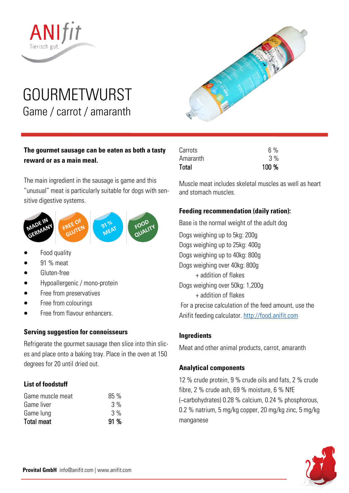

# GOURMETWURST Game / carrot / amaranth



## **The gourmet sausage can be eaten as both a tasty reward or as a main meal.**

The main ingredient in the sausage is game and this "unusual" meat is particularly suitable for dogs with sensitive digestive systems.



- Food quality
- 91 % meat
- Gluten-free
- Hypoallergenic / mono-protein
- Free from preservatives
- Free from colourings
- Free from flavour enhancers.

#### **Serving suggestion for connoisseurs**

Refrigerate the gourmet sausage then slice into thin slices and place onto a baking tray. Place in the oven at 150 degrees for 20 until dried out.

## **List of foodstuff**

| Game muscle meat  | 85% |
|-------------------|-----|
| Game liver        | 3%  |
| Game lung         | 3%  |
| <b>Total meat</b> | 91% |

| Carrots      | $6\%$ |
|--------------|-------|
| Amaranth     | $3\%$ |
| <b>Total</b> | 100 % |

Muscle meat includes skeletal muscles as well as heart and stomach muscles.

#### **Feeding recommendation (daily ration):**

Base is the normal weight of the adult dog Dogs weighing up to 5kg: 200g Dogs weighing up to 25kg: 400g Dogs weighing up to 40kg: 800g Dogs weighing over 40kg: 800g + addition of flakes Dogs weighing over 50kg: 1,200g + addition of flakes For a precise calculation of the feed amount, use the Anifit feeding calculator. <http://food.anifit.com>

#### **Ingredients**

Meat and other animal products, carrot, amaranth

#### **Analytical components**

12 % crude protein, 9 % crude oils and fats, 2 % crude fibre, 2 % crude ash, 69 % moisture, 6 % NfE (~carbohydrates) 0.28 % calcium, 0.24 % phosphorous, 0.2 % natrium, 5 mg/kg copper, 20 mg/kg zinc, 5 mg/kg manganese